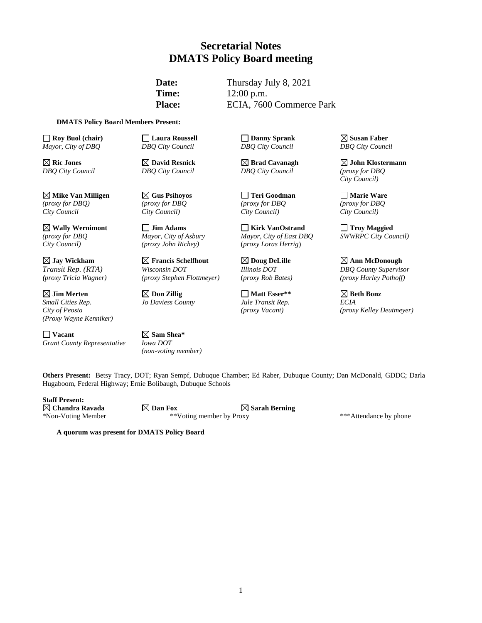# **Secretarial Notes DMATS Policy Board meeting**

**Date:** Thursday July 8, 2021 **Time:** 12:00 p.m. Place: ECIA, 7600 Commerce Park

#### **DMATS Policy Board Members Present:**

**Roy Buol (chair) Roy Buol (chair) C Laura Roussell C Danny Sprank Susan Faber**<br> *Mayor, City of DBQ* **DBQ** City Council **DBQ** City Council **DBQ** City Council *Mayor, City of DBQ DBQ City Council DBQ City Council DBQ City Council*

**Mike Van Milligen Gus Psihoyos Teri Goodman Marie Ware** *(proxy for DBQ) (proxy for DBQ (proxy for DBQ (proxy for DBQ City Council City Council) City Council) City Council)*

 $\boxtimes$  Jim Merten  $\boxtimes$  Don Zillig $\Box$  Matt Esser\*\*  $\Box$  Beth Bonz *Small Cities Rep*. *Jo Daviess County Jule Transit Rep. ECIA (Proxy Wayne Kenniker)*

**Vacant Sam Shea**\* **Sam Shea**\* **Sam Shea**\* **Sam Shea**\* **Sam Shea**\* **Sam Shea**\* **Sam Shea**\* **Sam Shea**\* **Sam Shea**\* **Sam Shea**\* **Sam Shea**\* **Sam Shea**\* **Sam Shea**\* **Sam Shea**\* **Sam Shea**\* **Sam Shea**\* **Sam Shea**\* **Sam She** *Grant County Representative Iowa DOT*

*City Council) (proxy John Richey)* (*proxy Loras Herrig*)

*Transit Rep. (RTA) Wisconsin DOT Illinois DOT DBQ County Supervisor*

*(non-voting member)*

*DBQ City Council DBQ City Council DBQ City Council (proxy for DBQ*

**Wally Wernimont Jim Adams Kirk VanOstrand Troy Maggied** *(proxy for DBQ Mayor, City of Asbury Mayor, City of East DBQ SWWRPC City Council)* 

**Ric Jones David Resnick Brad Cavanagh John Klostermann** *City Council)*

**Jay Wickham Francis Schelfhout Doug DeLille Ann McDonough** *(proxy Tricia Wagner) (proxy Stephen Flottmeyer)* (*proxy Rob Bates) (proxy Harley Pothoff)*

*City of Peosta (proxy Vacant) (proxy Kelley Deutmeyer)*

**Others Present:** Betsy Tracy, DOT; Ryan Sempf, Dubuque Chamber; Ed Raber, Dubuque County; Dan McDonald, GDDC; Darla Hugaboom, Federal Highway; Ernie Bolibaugh, Dubuque Schools

**Staff Present:**

**Chandra Ravada Dan Fox Sarah Berning** \*Non-Voting Member \*\*Voting member by Proxy \*\*\*Attendance by phone

**A quorum was present for DMATS Policy Board**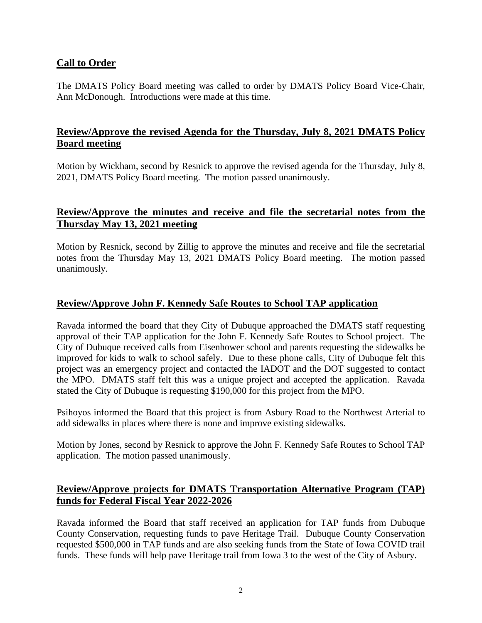## **Call to Order**

The DMATS Policy Board meeting was called to order by DMATS Policy Board Vice-Chair, Ann McDonough. Introductions were made at this time.

# **Review/Approve the revised Agenda for the Thursday, July 8, 2021 DMATS Policy Board meeting**

Motion by Wickham, second by Resnick to approve the revised agenda for the Thursday, July 8, 2021, DMATS Policy Board meeting. The motion passed unanimously.

# **Review/Approve the minutes and receive and file the secretarial notes from the Thursday May 13, 2021 meeting**

Motion by Resnick, second by Zillig to approve the minutes and receive and file the secretarial notes from the Thursday May 13, 2021 DMATS Policy Board meeting. The motion passed unanimously.

## **Review/Approve John F. Kennedy Safe Routes to School TAP application**

Ravada informed the board that they City of Dubuque approached the DMATS staff requesting approval of their TAP application for the John F. Kennedy Safe Routes to School project. The City of Dubuque received calls from Eisenhower school and parents requesting the sidewalks be improved for kids to walk to school safely. Due to these phone calls, City of Dubuque felt this project was an emergency project and contacted the IADOT and the DOT suggested to contact the MPO. DMATS staff felt this was a unique project and accepted the application. Ravada stated the City of Dubuque is requesting \$190,000 for this project from the MPO.

Psihoyos informed the Board that this project is from Asbury Road to the Northwest Arterial to add sidewalks in places where there is none and improve existing sidewalks.

Motion by Jones, second by Resnick to approve the John F. Kennedy Safe Routes to School TAP application. The motion passed unanimously.

# **Review/Approve projects for DMATS Transportation Alternative Program (TAP) funds for Federal Fiscal Year 2022-2026**

Ravada informed the Board that staff received an application for TAP funds from Dubuque County Conservation, requesting funds to pave Heritage Trail. Dubuque County Conservation requested \$500,000 in TAP funds and are also seeking funds from the State of Iowa COVID trail funds. These funds will help pave Heritage trail from Iowa 3 to the west of the City of Asbury.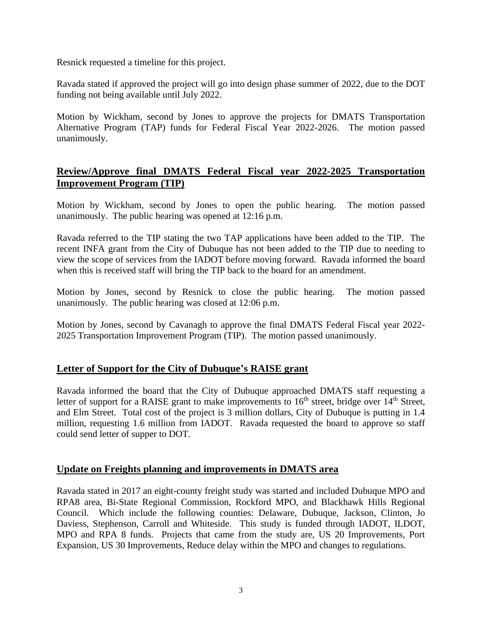Resnick requested a timeline for this project.

Ravada stated if approved the project will go into design phase summer of 2022, due to the DOT funding not being available until July 2022.

Motion by Wickham, second by Jones to approve the projects for DMATS Transportation Alternative Program (TAP) funds for Federal Fiscal Year 2022-2026. The motion passed unanimously.

# **Review/Approve final DMATS Federal Fiscal year 2022-2025 Transportation Improvement Program (TIP)**

Motion by Wickham, second by Jones to open the public hearing. The motion passed unanimously. The public hearing was opened at 12:16 p.m.

Ravada referred to the TIP stating the two TAP applications have been added to the TIP. The recent INFA grant from the City of Dubuque has not been added to the TIP due to needing to view the scope of services from the IADOT before moving forward. Ravada informed the board when this is received staff will bring the TIP back to the board for an amendment.

Motion by Jones, second by Resnick to close the public hearing. The motion passed unanimously. The public hearing was closed at 12:06 p.m.

Motion by Jones, second by Cavanagh to approve the final DMATS Federal Fiscal year 2022- 2025 Transportation Improvement Program (TIP). The motion passed unanimously.

# **Letter of Support for the City of Dubuque's RAISE grant**

Ravada informed the board that the City of Dubuque approached DMATS staff requesting a letter of support for a RAISE grant to make improvements to  $16<sup>th</sup>$  street, bridge over  $14<sup>th</sup>$  Street, and Elm Street. Total cost of the project is 3 million dollars, City of Dubuque is putting in 1.4 million, requesting 1.6 million from IADOT. Ravada requested the board to approve so staff could send letter of supper to DOT.

#### **Update on Freights planning and improvements in DMATS area**

Ravada stated in 2017 an eight-county freight study was started and included Dubuque MPO and RPA8 area, Bi-State Regional Commission, Rockford MPO, and Blackhawk Hills Regional Council. Which include the following counties: Delaware, Dubuque, Jackson, Clinton, Jo Daviess, Stephenson, Carroll and Whiteside. This study is funded through IADOT, ILDOT, MPO and RPA 8 funds. Projects that came from the study are, US 20 Improvements, Port Expansion, US 30 Improvements, Reduce delay within the MPO and changes to regulations.